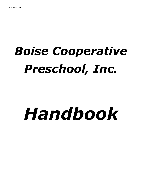# *Boise Cooperative Preschool, Inc.*

# *Handbook*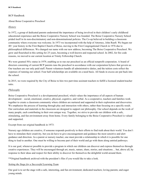# About Boise Cooperative Preschool

# *History*

In 1972, a group of dedicated parents understood the importance of being involved in their children's early childhood educational experience and the Boise Cooperative Nursery School was founded. The Boise Cooperative Nursery School prided itself in its non-discriminatory and non-denominational policies. The Co-op believed in building a classroom community where everyone was welcome. In 1973 we incorporated with the help of Attorney, John Runft. We began our 40+ year history in the First Baptist Church of Boise, moving to the First Congregational Church in 1976 due to philosophical differences. We changed our name with our new address, becoming The Boise Cooperative Preschool. We grew and flourished in this setting for 25 years, becoming a well-known and respected school. In 2002, for fire code reasons, we moved to our current location at Trinity Fellowship Church.

We were granted 501c status in 1979, enabling us to run our preschool as an official nonprofit corporation. A board of directors consisting of current BCP parents runs the preschool in accordance with our corporation bylaws that govern us. Our teachers are our only paid staff. Parent volunteers handle all administrative duties, and the tuition costs reflect the expenses of running our school. Four half scholarships are available on a need basis. All funds in excess are put back into the school.

In 2015, we were required by the City of Boise to hire two part-time assistant teachers to fulfill a licensed student/teacher ratio.

# *Philosophy*

Boise Cooperative Preschool is a developmental preschool, which values the importance of all aspects of human development – social, emotional, creative, physical, cognitive, and verbal. As a cooperative, teachers and families work together to create a classroom community where children are nurtured and supported in their exploration and discoveries. We emphasize the process of learning through play and interaction with others, rather than focusing on a specific result. Our curriculum and materials in the classroom are designed to support our philosophy. Our school depends on the work of many people, each contributing in their own unique way. Together, we strive to provide our children with a safe, stimulating, and fun environment away from home. Every family belonging to the Boise Cooperative Preschool is valued and supported.

# Excerpt from our original handbook in 1973:

Nursery age children are creative, if someone responds positively to their efforts to find truth about their world. You don't have to stimulate their creativity, but you do have to give encouragement and guidance the most sensitive and alert guidance and direction. As a parent or nursery teacher, one must provide a relationship in which it is possible for one thing to lead to another. One must be willing to become part of their world and go with them along untried pathways.

It is our goal, whenever possible to provide a program in which our children can discover and express themselves through creative experiences. They will be encouraged through art, music, nature, share, stories, and situations… but, above all, by response to their ideas and respect for their ability to discover for themselves the delightful world around them.

\*\*Original handbook archived with the president's files if you would like to take a look.

# *Setting the Stage for a Successful Learning Team*

Our goal is to set the stage with a safe, interesting, and fun environment; dedicated teachers; loving parents; and eager young minds.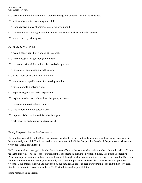Our Goals for You:

- •To observe your child in relation to a group of youngsters of approximately the same age.
- •To achieve objectivity concerning your child.
- •To learn new techniques of communicating with your child.
- •To talk about your child's growth with a trained educator as well as with other parents.
- •To work creatively with a group.
- Our Goals for Your Child:
- •To make a happy transition from home to school.
- •To learn to respect and get along with others.
- •To feel secure with adults, both teachers and other parents.
- •To develop self-confidence and self-esteem.
- •To share both objects and adult attention.
- •To learn some acceptable ways of expressing emotion.
- •To develop problem-solving skills.
- •To experience growth in verbal expression.
- •To explore creative materials such as clay, paint, and water.
- •To develop an interest in living things.
- •To take responsibility for personal care.
- •To improve his/her ability to finish what is begun.
- •To help clean up and put away materials used.

#### Family Responsibilities at the Cooperative

By enrolling your child in the Boise Cooperative Preschool you have initiated a rewarding and enriching experience for both you and your child. You have also become members of the Boise Cooperative Preschool Corporation, a private nonprofit educational organization.

BCP is operated and managed solely by the volunteer efforts of the parents who are its members. Our only paid staff is the teachers. It is vital to the success of our school that our members fulfill their responsibilities. The Boise Cooperative Preschool depends on the members running the school through working on committees, serving on the Board of Directors, helping out where help is needed, and generally using their unique talents and energies. Since we are a cooperative preschool, our preschool is run and supported by our families. In order to keep our operating costs and tuition low, each family is required to become a member of BCP with duties and responsibilities.

Some responsibilities include: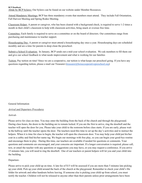#### **BCP Handbook** Abide by BCP bylaws: Our bylaws can be found on our website under Member Resources.

Attend Mandatory Meetings: BCP has three mandatory events that members must attend. They include Fall Orientation, Fall Harvest Meeting and Spring Rodeo Meeting.

Classroom Helper: A parent or caregiver, who has been cleared with a background check, is required to serve 1-2 times a month in their child's classroom to help with classroom activities, bring snack or oversee free time.

Committee: Each family is required to serve on a committee or on the board of directors. Our committees range from purchasing and maintenance to teacher support.

Housekeeping Day: A parent or caregiver must attend a housekeeping day once a year. Housekeeping days are scheduled monthly and are a time for parents to deep clean the preschool.

Submit a School Evaluation: In January, BCP sends out a mid-year school evaluation. We ask members to fill them out and give our school feedback to what needs improvement and what is working for our families

Tuition: Pay tuition on time! Since we are a cooperative, our tuition is what keeps our preschool going. If you have any questions regarding tuition, please e-mail our Treasurer (treasurer@boisecooperativepreschool.org)

# General Information

# *Arrival and Departure Procedures*

# Arrival-

Please arrive for class on time. You may enter the building from the back of the church and through the playground. During class hours, the doors to the building are to remain locked. If you are the first to arrive, ring the doorbell and the teacher will open the door for you. Please take your child to the restroom before class starts. If you are early, please wait in the hallway until the teacher opens the door. The teachers need this time to set up the day's activities and to instruct the helpers. When it is time for class to begin, the teacher will open the classroom door. You may help your child put his/her coat in a cubby and find his/her name tag. We begin our mornings with free play, so you can begin your good-bye routine and encourage them to play. During this time, our teachers are available if needed for questions or comments. Your questions and comments are encouraged, and your concerns are important. If a longer conversation is required, please call, text, or email the teacher with any questions or suggestions you may have, or you may request a conference. If you arrive 15 minutes late, you will need to ring the doorbell. One of our teachers or parent helpers will let you and your child into the building.

# Departure-

Please arrive to pick your child up on time. A late fee of \$15 will be assessed if you are more than 5 minutes late picking up your child. Pick up your child around the back of the church at the playground. Remember to check your child's file folder for artwork and other handouts before leaving. If someone else is picking your child up from school, you must notify the teacher. Children will not be released to anyone other than their parents unless prior arrangements have been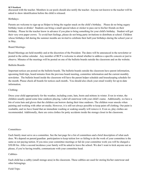discussed with the teacher. Members in car pools should also notify the teacher. Anyone not known to the teacher will be asked to show identification before the child is released.

# Birthdays-

Parents are welcome to sign-up as Helper to bring the regular snack on the child's birthday. Please do no bring sugary birthday treats or drinks! Students can bring a small special token or sticker to pass out to his/her friends on their birthday. Please let the teacher know in advance if you plan to bring something for your child's birthday. Student will get their very own paper crown. To avoid hurt feelings, please do not bring party invitations to distribute at school. Children whose birthdays fall during the summer months are invited to celebrate their half-year birthdays during the school year or in May.

# Board Meetings-

Board Meetings are held monthly and at the discretion of the President. The dates will be announced in the newsletter or posted to the online calendar. Any member of BCP is welcome to attend whether to address a specific concern or just to observe. Minutes of the meetings will be posted on one of the bulletin boards outside the classroom and on the website.

# Bulletin Boards-

Important notices are posted on the bulletin boards. The bulletin boards outside the classroom have parent information, upcoming field trips, board minutes from the previous board meeting, committee information and the current monthly newsletter. The bulletin board inside the classroom will have the parent helper schedule and housekeeping schedule for the month. Please check all boards for notices each month.. You should also check your email weekly for up-to-date information.

# Clothing-

Dress your child appropriately for the weather, including coats, hats, boots and mittens in winter. Even in winter, the children usually spend some time outdoors playing. Label all outerwear with your child's name. Additionally, we have a bin of extra hats and gloves that the children can borrow during their time outdoors. The children wear smocks when painting and working with other art media. However, it is still not always possible to keep paint off clothing. Our paint is washable, and we have found that an immediate washing or soaking usually will remove it. Even so, play clothes are recommended. Additionally, there are extra clothes for potty accidents inside the storage closet in the classroom.

#### Committees-

Each family must serve on a committee. See the last page for a list of committees and a brief description of what each does. We depend on parent/guardian participation to keep tuition low so failing to do the work of your committee is the same as not paying tuition. If you miss your committee meetings or fail do your committee work you will be charged a \$30.00 fee. After a second incidence your family will be asked to leave the school. We don't want to kick anyone out so please, if you're having trouble, communicate with your committee head.

#### Cubbies-

Each child has a cubby (small storage area) in the classroom. These cubbies are used for storing his/her outerwear and other belongings.

#### Field Trips-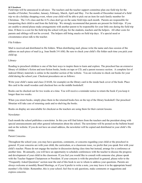Field trips will be announced in advance. The teachers and the teacher support committee plan one field trip for the months of October, November, January, February, March, April and May. For the month of December instead of a field trip we do a holiday shopping event, where your child will be able to pick out an item for each family member for Christmas. The 3-4's class and the 4-5's class don't go on the same field trips each month. Parents are responsible for transporting their child to and from the field trip. We strongly recommend that parents are present for field trips. If you are unable to attend please make arrangements with another parent to be responsible for your little one during the field trip time. If there is a cost for the field trip the school will pay for the students, teachers and the helpers. All other costs for parents and siblings will not be covered. The helpers still bring snacks on field trip days. If a special need or circumstance arises talk to the teacher.

# File Folders-

Mail is received and distributed in file folders. When distributing mail, please write the name and class session of the address on each piece of mail (e.g. Joan Smith 3/4 AM). Be sure to check your child's file folder each time you pick your child up.

# Library-

Reading to preschool children is one of the best ways to inspire them to learn and explore. The preschool has an extensive library of children's fiction and non-fiction books, books on tape or CD, and a parent resource section. A complete list of indexed library materials is online in the member section of the website. You are welcome to check out books for your child during the school year. Checkout procedures are as follows:

Write your child's name and class (3/4AM, for example) on the library card in the inside back cover of the book. Place this card in the small wooden card checkout box on the middle bookshelf.

Books can be checked out for two weeks at a time. You will receive a reminder notice to return the book if you keep it longer than two weeks.

When you return books, simply place them in the returned books box on the top of the library bookshelf. Our preschool librarian will take care of returning cards and re-shelving the books.

Books on display are unavailable for checkout as the teachers are using them for their current lessons.

#### Newsletter-

Each month the school publishes a newsletter. In this you will find letters from the teachers and the president along with special announcements and other general information about the school. The newsletter will be posted on the bulletin board and on the website. If you do not have an email address, the newsletter will be copied and distributed in your child's file folder.

#### Parent Concerns-

Throughout the school year, you may have questions, comments, or concerns regarding your child or the preschool in general. If your concerns are with your child, the curriculum, or a classroom issue, we prefer that you speak first with your child's teacher. Please do not engage the teacher in discussion during class time but instead, arrange for a conference at another time. Bi-annually, you will have an opportunity to schedule conferences with the teacher to discuss the progress and development of your child in the classroom. If you feel you would like to consult with someone else, please speak with the Teacher Support Chairperson or President. If your concern is with the preschool in general, please refer to the "Frequently Asked Questions" section near the end of this book to see to whom to address your questions. Parents are always welcome at monthly Board Meetings, or if you'd prefer to write a note, you may leave it in the appropriate board member's file folder. Remember, this is your school; feel free to ask questions, make comments or suggestions and express concerns.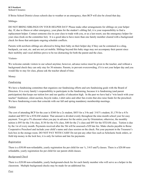**BCP Handbook** School Closures-

If Boise School District closes schools due to weather or an emergency, then BCP will also be closed that day.

Siblings-

DO NOT BRING SIBLINGS ON YOUR HELPER DAY! Please make other arrangements for siblings on your helper day. If, due to illness or other emergency, your plans for the student's sibling fail, it is your responsibility to find a replacement helper. Contact someone else in your class to trade with you, or as a last resort, use the emergency helper for your class (look on the committee list). It is a good idea to have more than one family member cleared with a background check for those that anticipate ongoing schedule conflicts.

Parents with newborn siblings are allowed to bring their baby on their helper day if they can be contained in a sling, backpack, car seat, etc. and are not yet mobile. Siblings beyond this baby stage may not accompany their parent since their mobility and vocal abilities prove to be too distracting for both the parent and the class.

# Visitors-

We welcome outside visitors to our school anytime; however, advance notice must be given to the teacher, and without a background check they can only stay for 30 minutes. Parents, to prevent overcrowding, if it is not your helper day and you would like to stay for class, please ask the teacher ahead of time.

# Money

# *Fundraising*

We have a fundraising committee that organizes our fundraising efforts and sets fundraising goals with the Board of Directors. It is every family's responsibility to participate in the fundraising, because it is fundraising (and parent participation) that keeps our tuition low and our quality of education high. In the past we have had a "win lunch with your teacher" fundraiser, silent auction, bicycle rodeo, t-shirt sales and other fun events that also raise funds for the preschool. We have fundraising events that coincide with our fall and spring mandatory membership meetings.

# *Tuition*

The cost of attending BCP for the year is \$360 for a 2s student, \$855 for a 3/4s and 3/4/5's student, \$1,170 for a 4/5s student and \$855 for a STEAM student. That amount is divided evenly throughout the nine-month school year for easy payment. You get a 5% discount when you pay in advance for the entire year by Orientation; otherwise, the monthly tuition is \$95 for the 3/4s class, \$130 for the 4/5s class, \$40 for the 2's class and \$95 for the STEAM class. Tuition is due by the 1st of every month. Payments received after the 5th will be assessed a \$20 late fee. Make checks payable to Boise Cooperative Preschool and include your child's name and class session on the check. Put your payment in the Treasurer's lock box in the storage room. DO NOT PAY WITH CASH! Do not put any other fees such as Scholastic book orders, or field trip money in the lock box; it is only for tuition and late fee payments.

#### *Registration*

There is a \$50.00 non-refundable, yearly registration fee per child for our  $\frac{3}{4}$ ,  $\frac{3}{4}$  and  $\frac{4}{5}$  classes. There is a \$20.00 nonrefundable, yearly registration fee per child for our parent child classes.

# *Background Check*

There is a \$20.00 non-refundable, yearly background-check fee for each family member who will serve as a helper in the classroom. Multiple background checks may be made for an additional fee.

#### *Fees*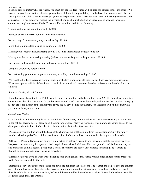If you're late, no matter what the reason, you must pay the late fees (funds will be used for general school expenses). We have an on your honor system of self-regulated fines. Fill out the slip and drop it in the box. The treasurer will place a late slip into your child's folder. Please put your late fee payment in the Treasurer's lock box in the storage room as soon as possible. It's due when you receive the invoice. If you need to make tuition arrangements in advance for special circumstances, please do so with the Treasurer. Fines are imposed for the following:

Tuition paid after the 5th of the month: \$20.00

Bounced check \$20.00 (in addition to the late fee above)

Not arriving 15 minutes early on your helper day: \$15.00

More than 5 minutes late picking up your child: \$15.00

Missing your scheduled housekeeping day: \$30.00 (plus a rescheduled housekeeping day)

Missing mandatory membership meeting (unless prior notice is given to the president): \$15.00

Not turning in the mandatory school and teacher evaluations: \$15.00

Using the emergency helper \$20.00

Not performing your duties on your committee, including committee meetings \$30.00

We would rather have everyone work together to make less work for us all, than use our fines as a source of revenue. Whenever a parent fails in his/her duties, it results in an additional burden on the others who support the school and our children.

#### *Bounced Checks, Missed Tuition*

If you bounce a check, the fee is \$20.00 as noted above, in addition to the late tuition fee of \$20.00 if it makes your tuition come in after the 5th of the month. If you bounce a second check, the same fees apply, and you are then required to pay by money order for the rest of the school year. If you are 30 days behind in payment, our Treasurer will be in contact with you in regards to your account.

#### *Security and Health*

•The front door of the building is locked at all times for the safety of our children and the church staff. If you are waiting in the hall for class to begin, please open the door for parents or staff you recognize. If an unfamiliar person comes to the door, please do not admit him/her. Let the church staff or the teacher take care of it.

•Please pick your child up around the back of the church, as we will be exiting from the playground. Only the family member who dropped off the child is permitted to pick him/her up unless prior notice has been given to the teacher.

•Official BCP Name Badges must be worn while acting as helper. This alerts any inspectors that the volunteer working has passed the mandatory background check required to work with children. This background check is done once a year and checks for criminal records going back 3 years. The criteria are set by City of Boise licensing. (The teachers go through an even more stringent licensing procedure.)

•Disposable gloves are to be worn while handling food during snack time. Please remind other helpers of this practice as well. They are in a rack by the sink.

•Bathroom policy- our bathroom facilities are down the hall from the classroom. The teacher and helpers give the children one bathroom break as a class where they have an opportunity to use the bathroom and wash their hands before snack time. If a child has to go at another time, he/she will be escorted by the teacher or a helper. Please double check that toilets are flushed and hands are washed!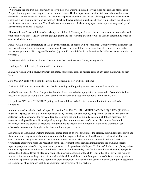•We provide the children the opportunity to serve their own water using small serving-sized pitchers and plastic cups. Proper cleaning procedures, required by the Central District Health Department, must be followed when washing any dishes that we use for snack. Washing instructions are posted above the sink. Proper cleaning procedures must also be exercised when cleaning any food surfaces. A bleach and water solution must be used when wiping down the tables we use for snack or any counter tops. The bleach/water solution is an ideal cleaning agent that evaporates very quickly and leaves behind no chemical residue.

•Illness policy – Please tell the teacher when your child is ill. You may call or text the teacher prior to school on her cell phone and leave a message. Please use good judgment and the following guidelines will be used in determining when to send a sick child home:

*Fever*- A child with a temperature of 100 degrees Fahrenheit or higher will be sent home. Usually fever is a sign that the body is fighting off a an infection or a contagious disease. Fever is defined as an elevation of 1.5 degrees above the normal temperature of 98.6 degrees Fahrenheit (by mouth). A child should be fever-free for 24 hours before returning to preschool.

*Diarrhea*-A child will be sent home if there is more than one instance of loose, watery stools.

*Vomiting*-If a child vomits, the child will be sent home.

*Influenza*-A child with a fever, persistent coughing, congestion, chills or muscle aches in any combination will be sent home.

*Sore Throat*-A child with a sore throat who has not seen a doctor, will be sent home.

*Rashes*-A child with an unidentified rash that is spreading and/or getting worse over time will be sent home.

In all of these cases, the Boise Cooperative Preschool recommends that a physician be consulted. If your child is ill or possibly ill, please be thoughtful of other parents and children and keep him/her home until he/she is well.

Lice policy- BCP has a "NIT-FREE" policy; students will have to be kept at home until initial treatment has been completed.

Immunization Code- Idaho Code, Chapter 11, Section 39-1118: 39-1118. IMMUNIZATION REQUIRED. (1) Within fourteen (14) days of a child's initial attendance at any licensed day care facility, the parent or guardian shall provide a statement to the operator of the day care facility, regarding the child's immunity to certain childhood diseases. This statement shall provide a certificate signed by a physician or a representative of a health district, that the child has received, or is in the process of receiving immunizations as specified by the Board of Health and Welfare; or can effectively demonstrate, through verification in a form approved by the

Department of Health and Welfare, immunity gained through prior contraction of the disease. Immunizations required and the manner and frequency of their administration shall be as prescribed by the State Board of Health and Welfare and shall conform to recognized standard medical practices in the state. The State Board of Health and Welfare shall promulgate appropriate rules and regulation for the enforcement of the required immunization program and specify reporting requirements of the day care center, pursuant to the provision of Chapter 52, Title 67, Idaho code. (2) Any minor child whose parent or guardian has submitted to officials of a licensed day care facility a certificate signed by a physician licensed by the State Board of Medicine stating the physical condition of the child is such that all or any of the required immunizations would endanger the life or health of the child shall be exempt from provision of this section. Any minor child whose parent or guardian has submitted a signed statement to officials of the day care facility stating their objections on religious or other grounds shall be exempt from the provisions of this section.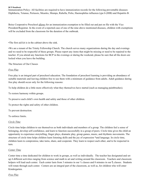Immunization Policy- All facilities are required to have immunization records for the following preventable diseases: Diphtheria, Tetanus, Pertussis, Measles, Mumps, Rubella, Polio, Haemophilus influenza type b (HIB) and Hepatitis B.

Boise Cooperative Preschool allows for an immunization exemption to be filled out and put on file with the Vice President/Registrar. In the event of a reported case of one of the nine above mentioned diseases, children with exemptions will be excluded from the classroom for the duration of the outbreak.

•The first aid kit is in the cabinet above the sink.

•We are a tenant of the Trinity Fellowship Church. The church serves many organizations during the day and evenings and we need to be respectful of these groups. Please report any items that might be missing or need to be repaired to the teacher. If you attend any functions for BCP in the evenings or during the weekend, please be sure that all the doors are locked when you leave the building.

The Structure of Our Classes

# *Free Play*

Free play is an integral part of preschool education. The foundation of preschool learning is providing an abundance of suitable materials and leaving children free to use them with a minimum of guidance from adults. Adult guidance during free play should occur only for the following reasons:

To help children do a little more effectively what they themselves have started (such as managing paintbrushes).

To restore harmony within groups.

To preserve each child's own health and safety and those of other children.

To protect the rights and safety of other children.

To prevent destruction.

To enforce limits.

#### *Circle Time*

Circle time helps children to see themselves as both individuals and members of a group. The children feel a sense of belonging, develop self-confidence, and learn to function successfully in a group of peers. Circle time gives the child an opportunity to experience storytelling, finger plays, dramatic play, group games, music, and rhythmic movements. The structure of circle time helps children learn listening skills and the joy of expression \*and language. In circle time, children learn to compromise, take turns, share, and cooperate. They learn to respect each other, and to be respected in turn.

# *Center Time*

Center time a time dedicated for children to work in groups, as well as individually. The teacher has designated and set up 4 different activities ranging from science and math to art and writing around the classroom. Teachers and classroom helpers will lead each center. Each center lasts from 3 minutes in our <sup>3</sup>/4 classes and 8 minutes in our  $\frac{4}{5}$  classes. Students will rotate through each center. Centers are an integral part of the classroom, as well as, for children who will enter Kindergarten.

#### *Free Play*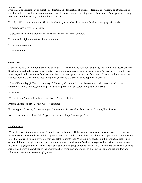Free play is an integral part of preschool education. The foundation of preschool learning is providing an abundance of suitable materials and leaving children free to use them with a minimum of guidance from adults. Adult guidance during free play should occur only for the following reasons:

To help children do a little more effectively what they themselves have started (such as managing paintbrushes).

To restore harmony within groups.

To preserve each child's own health and safety and those of other children.

To protect the rights and safety of other children.

To prevent destruction.

To enforce limits.

#### *Snack Time*

Snacks consists of a solid food, provided by helper #1, that should be nutritious and ready to serve (avoid sugary snacks). Snack portions should be kept small and two items are encouraged to be brought for snack. We are not trying to fill their tummies, only hold them over for class time. We have a refrigerator for storing food items. Please check the list on the cabinet above the sink for any food allergies in your child's class and bring appropriate snacks.

\*Every Wednesday (4/5's class) or every  $1<sup>st</sup>$  Thursday (3/4's and 3/4/5's class) students will make a snack in the classroom. In this instance, both Helper #1 and Helper #2 will be assigned ingredients to bring.

#### *Snack Ideas*

Whole Grains-Popcorn, Crackers, Rice Cakes, Pretzels, Muffins

Protein-Cheese, Yogurt, Cottage Cheese, Hummus

Fruits-Apples, Bananas, Grapes, Oranges, Clementines, Watermelon, Strawberries, Mangos, Fruit Leather

Vegetables-Carrots, Celery, Bell Peppers, Cucumbers, Snap Peas, Grape Tomatoes

#### *Outdoor Time*

We try to play outdoors for at least 15 minutes each school day. If the weather is too cold, rainy, or snowy, the teacher may choose to remain indoors to finish up the school day. Outdoor time gives the children an opportunity to participate in more boisterous, physical play where they can let their spirits soar. We have a wonderful climbing structure that brings out the children's imaginations and develops strength and coordination. We have a large sandbox with a variety of toys. We have a huge grass area in which to run, play ball, and do group activities. Finally, we have several tricycles to develop strength and gross motor skills. In inclement weather, some toys are brought to the Harvest Hall, and the children are allowed to have more boisterous play there.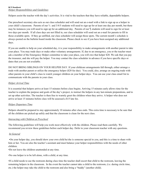#### **BCP Handbook** *Helper Responsibilities and Guidelines*

Helpers assist the teacher with the day's activities. It is vital to the teachers that they have reliable, dependable helpers.

Our preschool secretary also acts as our class scheduler and will send out an e-mail with a link to sign up as a helper in your child's classroom. Parents of our  $\frac{3}{4}$  and  $\frac{3}{4}$  students will need to sign up for at least one day per month, but there may be instances you will need to sign up for an additional day. Parents of our  $\frac{4}{5}$  students will need to sign for at least two days per month. If all class days are not filled in, our class scheduler will send out an e-mail for parents to fill in those available spots. If they go unfilled, our class scheduler will assign those spots. The current month's schedule is always posted on the bulletin board inside the classroom. Please check to see if you have been assigned any additional days.

If you are unable to help on your scheduled day, it is your responsibility to make arrangements with another parent to take your place. You may trade days or make other voluntary arrangements. If, due to an emergency, you or the teacher must ask a member of the Emergency Helper committee to take your place, you will owe that helper \$20. We ask that you pay the treasurer, and she will pay the helper. You may contact the class scheduler in advance if you have specific days or dates that you are not available.

DO NOT BRING SIBLINGS ON YOUR HELPER DAY. If your childcare arrangements fall through, either arrange a trade with another parent or utilize the emergency helper (\$20 fee due). You could, also, arrange an ongoing trade with other parents in your child's class to watch younger children on your helper days. You can use your class email list to communicate with the parents in your class.

# *Helper Arrival Time*

It is essential that helpers arrive at least 15 minutes before class begins. Arriving 15 minutes early allows time for the teacher to explain the purpose and goals of the day's project, to instruct the helpers in any last-minute preparations, and to set up other activities. The teacher is then free to warmly greet the children when they arrive. A helper who does not arrive at least 15 minutes before class will be assessed a \$15 late fee.

# *Helper Departure Time*

Helpers should be prepared to stay approximately 10 minutes after class ends. This extra time is necessary to be sure that all the children are picked up safely and that the classroom is clean for the next class.

# *Interacting with Children at Preschool*

The following guidelines will help you work most effectively with the children. Please read them carefully. We recommend you review these guidelines before each helper day. Defer to your classroom teacher with any questions.

# *In General*

•On your helper day, you should show your own child he/she is someone special to you, and this is a time to share with him or her. You are also the teacher's assistant and must balance your helper responsibilities with the needs of other children.

•Do not leave the children unattended at any time.

•No one helper is to be left alone, with a child, at any time.

•If a child needs to use the restroom during class time the teacher shall escort that child to the restroom, leaving the remaining helpers in the classroom. In the event the teacher cannot take a child to the restroom, (i.e. during circle time, etc.) the helper may take the child to the restroom and also bring a "buddy" (another child).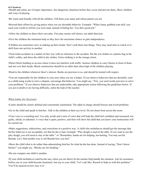•Health and safety are of major importance. See dangerous situations before they occur and prevent them. Show children safe ways of playing

•Be warm and friendly with all the children. Tell them your name and whose parent you are

•Reward their efforts by giving praise when you see desirable behavior. Example: "When Jenny grabbed your doll, you used your words to tell her you were mad, instead of hitting her. You did a good job."

•Allow the children to direct their own play. Free play means self-choice, not adult direction.

•Give the children the minimum help so they have the maximum chance to gain independence.

•Children are sometimes slow in making up their minds. Don't rush them into things. They may need time to watch or to shift from one activity to another.

•Treat toilet accidents in a matter-of-fact way with no reference to the accident. Put the wet clothes in a plastic bag in the child's cubby, and dress the child in dry clothes. Extra clothing is in the storage closet.

•Direct block building to an area where it does not interfere with traffic. Instruct children to carry blocks in front of them and not over their heads. Block construction should be no taller than chest high of the children playing.

•Read to the children whenever there's interest. Books are precious to us, and should be treated with respect.

•You are responsible for the children in your area when you are a helper. If you observe behaviors that are desirable, such as a child using words to solve a dispute, encourage that behavior. You might say, "Eric, you used words just now to solve your problems." If you observe behaviors that are undesirable, take appropriate action following the guidelines below. If you are in doubt or are having difficulty, enlist the help of the teacher.

#### *When Limits Are Necessary*

•Limits should be clearly defined and consistently maintained. The adult in charge should foresee and avoid problems.

•Go to the child and speak to him/her. Talk to the children at their eye level. Do not shout from across the room.

•Your voice is a teaching tool. Use only words and a tone of voice that will help the child feel confident and reassured, not guilty, afraid, or ashamed. A voice that is quiet, positive, and firm will show the child that you know your instructions will be carried out.

•Make suggestions, redirections, and corrections in a positive way. A child who misbehaves should get the message that his/her behavior is not acceptable, not that he/she is bad. Example: "Play dough is used at the table. If you want to use the play dough, you will need to stay at the table." or "Remember, hands are for helping, not hurting. You may not hit Brenda. Let's find another way to tell Brenda how you feel."

•Show the child what to do rather than admonishing him/her for what he/she has done. Instead of saying, "Don't throw blocks!" you might say, "Blocks are for building."

•Do not compare one child to another.

•If your child misbehaves (and he/she may when you are there) let the teacher help handle the situation. Ask for assistance before you or your child become frustrated. Just say to your child, "Let's ask Mrs. Russell to help us with this problem." You'll be amazed at how easy it is!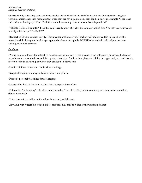#### **BCP Handbook** *Disputes between children*

•Intervene only when they seem unable to resolve their difficulties in a satisfactory manner by themselves. Suggest possible choices. Help kids recognize that when they are having a problem, they can help solve it. Example: "I see Chad and Nicky are having a problem. Both kids want the same toy. How can we solve this problem?"

•Validate feelings. Example: " I see that you're really angry at Nicky, but you may not hit him. You may use your words in a big voice to say 'I feel MAD!'"

•Redirect children to another activity if disputes cannot be resolved. Teachers will address certain rules and conflict resolution skills being practiced at age- appropriate levels through the I-CARE rules and will help helpers use these techniques in the classroom.

# *Outdoors*

•We try to play outdoors for at least 15 minutes each school day. If the weather is too cold, rainy, or snowy, the teacher may choose to remain indoors to finish up the school day. Outdoor time gives the children an opportunity to participate in more boisterous, physical play where they can let their spirits soar.

- •Remind children to use both hands when climbing.
- •Keep traffic going one way on ladders, slides, and planks.
- •Put aside personal playthings for safekeeping.
- •Do not allow bark to be thrown. Sand is to be kept in the sandbox.

•Enforce the "no bumping" rule when riding tricycles. The rule is: Stop before you bump into someone or something (doors, trees, etc.).

•Tricycles are to be ridden on the sidewalk and only with helmets.

•Anything with wheels (i.e. wagon, bikes, scooters) may only be ridden while wearing a helmet.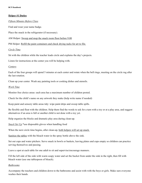# **Helper #1 Duties**

#### *Fifteen Minutes Before Class*

Find and wear your name badge.

Place the snack in the refrigerator (if necessary).

AM Helper: Sweep and mop the snack room floor before 9:00

PM Helper: Refill the paint containers and check drying racks for art to file.

#### *Circle Time*

Sit with the children while the teacher leads circle and explains the day's projects.

Listen for instructions at the center you will be helping with.

#### *Centers*

Each of the four groups will spend 5 minutes at each center and rotate when the bell rings, meeting on the circle rug after the last rotation.

Clean up your center. Wash any painting tools or cooking dishes and utensils.

#### *Work Time*

Monitor free choice areas: each area has a maximum number of children posted.

Check for the child's name on any artwork they make (help write name if needed)

Keep paint and sensory table areas tidy: wipe paint drips and sweep table spills.

Be flexible and float with the children. Help them find the words to ask for a turn with a toy or at a play area, and suggest alternatives if an area is full or another child is not done with a toy yet.

Help organize the blocks and dramatic play area during clean-up.

*Snack Set Up* \*use disposable gloves when handling food

When the next circle time begins, after clean-up, both helpers will set up snack.

Sanitize the tables with the bleach water in the spray bottle above the sink.

Set out cups and water pitchers. Serve snack in bowls or baskets, leaving plates and cups empty so children can practice serving themselves and passing.

Leave a spot at each table for one adult to sit and supervise/encourage manners.

Fill the left side of the sink with warm soapy water and set the bucket from under the sink in the right, then fill with bleach water (use one tablespoon of bleach).

#### *Bathrooms*

Accompany the teachers and children down to the bathrooms and assist with with the boys or girls. Make sure everyone washes their hands.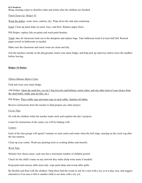Bring cleaning wipes to disinfect sinks and toilets after the children are finished.

#### *Final Clean-Up: Helper #1*

Wash the dishes: wash, rinse, sanitize, dry. Wipe down the sink and countertop.

Easel: Clean up paint drips on easel, trays, and floor. Replace paper liners.

PM Helper- replace lids on paints and wash paint brushes.

Trash: take all classroom trash out to the dumpster and replace bags. Take bathroom trash if at least half full. Restock paper towels in bathrooms as needed.

Make sure the classroom and snack room are clean and tidy.

Join the teachers outside on the playground, return your name badge, and help pick up sand toys and/or close the sandbox before leaving.

#### **Helper #2 Duties**

#### *Fifteen Minutes Before Class*

Find and wear your name badge.

AM Helper: Open the sand box, set out 3 big tricycles and helmets, teeter totter, and one other item of your choice from the shed (balls, chalk, pop up tube, etc.)

PM Helper: Place cubby tags and name tags in each cubby. Sanitize all tables.

Receive instructions from the teacher to help prepare any other project.

#### *Circle Time*

Sit with the children while the teacher leads circle and explains the day's projects.

Listen for instructions at the center you will be helping with.

#### *Centers*

Each of the four groups will spend 5 minutes at each center and rotate when the bell rings, meeting on the circle rug after the last rotation.

Clean up your center. Wash any painting tools or cooking dishes and utensils.

#### *Work Time*

Monitor free choice areas: each area has a maximum number of children posted.

Check for the child's name on any artwork they make (help write name if needed)

Keep paint and sensory table areas tidy: wipe paint drips and sweep table spills.

Be flexible and float with the children. Help them find the words to ask for a turn with a toy or at a play area, and suggest alternatives if an area is full or another child is not done with a toy yet.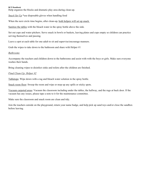Help organize the blocks and dramatic play area during clean-up.

*Snack Set Up* \*use disposable gloves when handling food

When the next circle time begins, after clean-up, both helpers will set up snack.

Sanitize the tables with the bleach water in the spray bottle above the sink.

Set out cups and water pitchers. Serve snack in bowls or baskets, leaving plates and cups empty so children can practice serving themselves and passing.

Leave a spot at each table for one adult to sit and supervise/encourage manners.

Grab the wipes to take down to the bathroom and share with Helper #1

#### *Bathrooms*

Accompany the teachers and children down to the bathrooms and assist with with the boys or girls. Make sure everyone washes their hands.

Bring cleaning wipes to disinfect sinks and toilets after the children are finished.

#### *Final Clean-Up: Helper #2*

Tabletops: Wipe down with a rag and bleach water solution in the spray bottle.

Snack room floor: Sweep the room and wipe or mop up any spills or sticky spots.

Vacuum carpeted areas: Vacuum the classroom including under the tables, the hallway, and the rugs at back door. If the vacuum has any issues, please tape a note to it for the maintenance committee.

Make sure the classroom and snack room are clean and tidy.

Join the teachers outside on the playground, return your name badge, and help pick up sand toys and/or close the sandbox before leaving.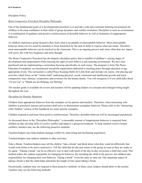# Discipline Policy

# *Boise Cooperative Preschool Discipline Philosophy*

One of the fundamental goals of a developmental preschool is to provide a safe and consistent learning environment for children to develop confidence in their skills of group dynamics and conflict resolution. Discipline in such an environment is a combination of guidance and positive reinforcement of desirable behavior as well as limitation of inappropriate behavior.

As children experience group dynamics they learn what is acceptable or unacceptable behavior. Most unacceptable behavior stems out of a need for attention or from frustration by the lack of skills to express what one needs. Therefore, most unacceptable behavior can be resolved in the classroom. This is an ongoing process and, more often than not, lapses will occur, but with less frequency and more thought.

The Boise Cooperative Preschool has developed a discipline policy that is mindful of children's varying stages of development and temperament while ensuring the right of each child to a safe learning environment. We have also purchased and are implementing a curriculum focusing specifically on such issues. The program is from The Peace Education Foundation, an international non-profit organization dedicated to teaching peace through education at age appropriate levels. The curriculum is called Peace Keeping Skills for Little Kids and includes art, music, role playing and activities which focus on the "whole child" embracing physical, social, emotional and intellectual growth and teach compassion, trust, fairness, cooperation and reverence for the human family. You will recognize it if you child talks about "I-Care Cat" or "Hands are for Helping, not Hurting".

The teacher guide is available for review and teachers will be updating helpers on concepts and strategies being taught throughout the year.

#### *Discipline for Routine Situations*

Children learn appropriate behavior from the examples set by parents and teachers. Therefore, when interacting with children at preschool, parents and teachers shall strive to demonstrate exemplary behavior. Please refer to the "Interacting with Children" section of this handbook for some specific examples.

Children respond to and learn from positive reinforcement. Therefore, desirable behavior will be encouraged and praised.

As discussed above in the "Discipline Philosophy," a reasonable amount of inappropriate behavior is expected from children as they develop skills to resolve conflict and adapt to a group environment. To help students resolve routine conflicts, teachers may use the following proactive methods:

Teachers/helpers may help students manage conflict by intervening and facilitating negotiation.

Teachers/helpers may redirect students to other activities.

Take a Break -Teachers/helpers may tell the child to "take a break" and think about what they could do differently that would work better or be more constructive. Tell the child that he/she may return to the group as soon as they are ready to try again. "Taking a break" can be an effective way to deal with much of the day-to-day correction a child may need. This method makes the student responsible for changing his behavior. By including the child in the process, the children take responsibility for changing their own behavior. Taking a break" is not the same as time out. One important aspect of taking a break is that the child helps determine the length of time spent taking a break.

Occasionally, students may not respond to these proactive methods. In these cases, helpers should defer to the teacher. Teachers may use the following methods: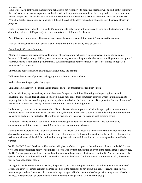Time-Out – A student whose inappropriate behavior is not responsive to proactive methods will be told gently but firmly that her/his behavior is unacceptable, and he/she will be temporarily removed from the group and given time to regain her/his composure. The teacher will stay with the student until the student is ready to rejoin the activities of the class. While the teacher is so occupied, a helper will keep the rest of the class focused on whatever activities were already in progress.

Early Dismissal from School – If a student's inappropriate behavior is not responsive to time-out, the teacher may, at her discretion, call the child's parent(s) to come and take the child home for the day.

Parent/Teacher Conference – The teacher may request a conference with the parent(s) to discuss the problem.

\*\*Under no circumstances will physical punishment or humiliation of any kind be used.\*\*

# *Discipline for Extreme Situations*

Although we recognize that a reasonable amount of inappropriate behavior is to be expected, and while we value behavioral diversity among children, we cannot permit any student's inappropriate behavior to infringe upon the right of other students to a safe learning environment. Such inappropriate behavior includes, but is not limited to, repeated incidents of the following:

Unprovoked aggression such as hitting, kicking, biting, and spitting.

Deliberate destruction of property belonging to the school or other students.

Verbal abuses or inappropriate language.

Unmanageable disruptive behavior that is unresponsive to appropriate teacher intervention.

A few difficulties, by themselves, may not be cause for special discipline. Natural growth spurts (physical and developmental) and sudden changes in children's lives may cause them temporary distress, which in turn can lead to inappropriate behavior. Working together, using the methods described above under "Discipline for Routine Situations," teachers and parents can usually guide children through these challenging times.

Unfortunately, there are rare occasions when distress is more than temporary and, despite appropriate intervention, the problems persist and even worsen. In such situations, the rights of the other students to a safe learning environment are jeopardized and must be protected. The following disciplinary steps will be taken in such extreme cases:

Document – The teacher will document student's inappropriate behavior. The teacher will also document any conversations with the student's parent(s) regarding the inappropriate behavior.

Schedule a Mandatory Parent/Teacher Conference – The teacher will schedule a mandatory parent/teacher conference to discuss the situation and possible methods to remedy the situation. At this conference the teacher will give the parent(s) written notification of the child's continued inappropriate behavior and the actions to be taken agreed upon with the parents.

Notify the BCP Board President – The teacher will give confidential copies of the written notification to the BCP board president. If inappropriate behavior continues to occur after written notification is given at the parent/teacher conference, the BCP board president will call a special conference with the parent(s), the teacher, and the BCP board president. The special conference will be held within one week of the president's call. Until the special conference is held, the student will be suspended from school.

During this special conference the teacher, the parent(s), and the board president will mutually agree upon a course of action. If a course of action cannot be agreed upon, or if the parent(s) do not attend this conference, the student will remain suspended until a course of action can be agreed upon. (If after one month of suspension no agreement has been reached, the student will be expelled and the membership of the parent(s) will be terminated.)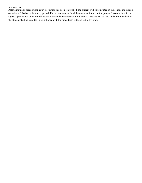After a mutually agreed upon course of action has been established, the student will be reinstated in the school and placed on a thirty (30) day probationary period. Further incidents of such behavior, or failure of the parent(s) to comply with the agreed upon course of action will result in immediate suspension until a board meeting can be held to determine whether the student shall be expelled in compliance with the procedures outlined in the by-laws.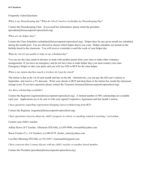#### Frequently Asked Questions

#### *When is my Housekeeping day? What do I do if I need to reschedule my Housekeeping Day?*

Contact the Housekeeping Chair. If you need her information, please email the president (president@boisecooperativepreschool.org)

#### *When are my helper days?*

Contact the Class Scheduler (scheduler@boisecooperativepreschool.org). Helper days for any given month are scheduled during the month prior. You are allowed to choose which helper day(s) you want.. Helper schedules are posted on the bulletin board in the classroom. You will receive a reminder e-mail the week of your helper day.

#### *What do I do if I am unable to help on my scheduled day?*

You can use the class email in advance to trade with another parent from your class or make other voluntary arrangements. If you have an emergency and do not have time to trade helper days you must contact your class Emergency Helper to take your place and you will owe \$20 to BCP for the class helper.

#### *When is my tuition due/how much is it/where do I put the check?*

The tuition is due at the 1st of each month and late on the 6th. Alternatively, you can pay the full year's tuition in September, and receive a 5% discount. Write your checks to BCP and drop them in the tuition box inside the classroom storage room. If you have questions please contact the Treasurer (treasurer  $\alpha$ boisecooperativepreschool.org).

#### *Are there scholarships available?*

Contact the Registrar (registrar@boisecooperativepreschool.org). A limited number of 50% scholarships are available each year. Applications are to be sent in with your signed Cooperative Agreement and last month's tuition.

*I have questions regarding registration/changing classes/withdrawing from BCP.*

Contact the Registrar (registrar@boisecooperativepreschool.org).

*I have questions/concerns about my child's progress in school, or anything related to teaching / curriculum.*

Contact your child's teacher:

Ashley Rowe (4/5 Teacher, Afternoon STEAM), (c) 859-9098, rowean84@yahoo.com

Stacie Fischer (2's, 3/4 Teacher), (c) 440-8278 fischer stacie@yahoo.com

Lisa Birt (Morning STEAM), (c) 912-6817, lisarenaebirt@gmail.com

*I have concerns that I cannot discuss with my child's teacher or another board member.*

Contact the President (president@boisecooperativepreschool.org)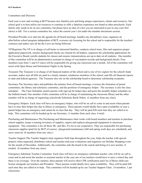# Committees and Directors

Each year is new and exciting at BCP because new families join and bring unique experiences, talents and resources. Our school goal is to best utilize our resources to continue to offer a fabulous experience not found at other preschools. Each family only needs to be on one committee, but please have an idea of a few you are interested in just in case your first choice is full. For a current committee list, select the current year's list under the member documents section.

President-Presides over and sets the agenda for all board meetings, handles any disciplinary issue, organizes an after/before school program independent of BCP, oversees city licensing for the school and is responsible for the teachers' contracts and makes sure all the By-Laws are being followed.

VP/Registrar-The VP is in charge of call backs to interested families, conducts school tours, files and organizes proper application paperwork, ensures background checks are cleared for all helpers, organizes the scholarship applications for the Executive Board, enrolls students for classes and ensures immunizations are up-to date on all students. One member of this committee will be an administrative assistant in charge of vaccination records and background checks. Four members (one from  $\frac{3}{4}$  and 4/5 class) will be responsible for giving one classroom tour a month. All of the committee will assist with Open House and Information Nights in the Spring.

Treasurer-The Treasurer is in charge of all financial matters of the school and is one of two signers for the school's bank accounts, makes sure all bills are paid in a timely manner, reimburses members of the school, and fills all financial reports to state and federal agencies. The Treasurer also sits on the scholarship board to determine scholarship recipients.

Secretary-The Secretary takes and publishes the minutes from all board meetings, oversees the formation of parent committees, the library and scholastic committee, and the positions of emergency helper. The secretary is also the class scheduler. The Class Scheduler emails parents with sign-up for helper days and posts the monthly helper schedules on the bulletin board. One member of this committee will be in charge of maintaining the classroom library and the other member will be in charge of organizing schoolwide Scholastic Book Orders. (2 members from any class)

Emergency Helpers- Each class will have an emergency helper, who will be on call to come in and assist when parents have to miss their helper day due to illness or emergency. These parents would ideally have open availability in case a parent helper has an emergency and cannot be in class that day. They will be paid \$20 each time they are called in to help. This committee will be headed up by our Secretary. (1 member from each class, 4 total)

Purchasing and Maintenance-The Purchasing and Maintenance chair works with board members and teachers to purchase school supplies, keeps a running inventory of supplies, repairs and replaces playground equipment or classroom equipment. This committee is for all those Mr. and Mrs. Fix-Its in our cooperative. They are responsible for purchasing classroom supplies (paid for by BCP of course) , playground maintenance (fall and spring work days are scheduled), and snow removal. (8 members from any class.)

Teacher Support-The Teacher Support chair organizes field trips throughout the year, helps the teacher with special projects when requested, distributes school and teacher mid-year evaluations and organizes our Holiday Shopping event for the month of December. Additionally, the committee aids the board in the search and hiring of a new teacher, if needed. (8 members from any class)

Emergency Substitute Teacher Committee- Each class will have an emergency substitute teacher, who will be on call to come and in and assist the teacher or assistant teacher in the case one of our teachers would have to miss a school day and there is no coverage. Over the summer, these parents will receive their CPR certification and City of Boise child care license alongside our teachers and President. These parents would ideally have open availability. They will be paid \$20 each time they are called in to help. This committee will be headed up by our Teacher Support Chair. (4 members, 1 per classroom)